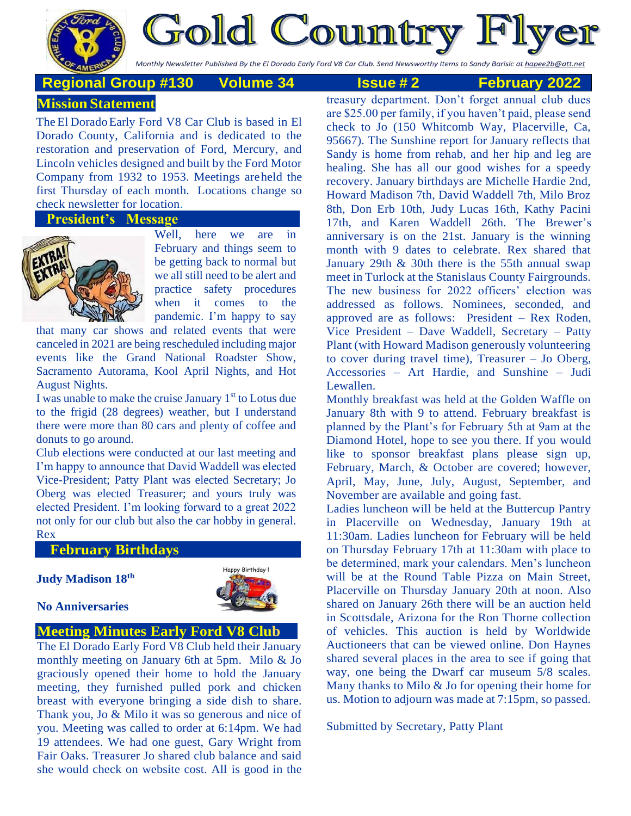

**Fold Country Fl** 

Monthly Newsletter Published By the El Dorado Early Ford V8 Car Club. Send Newsworthy Items to Sandy Barisic at hapee2b@att.net

# **Mission Statement Regional Group #130 Volume 34 Issue # 2 February 2022**

The El Dorado Early Ford V8 Car Club is based in El Dorado County, California and is dedicated to the restoration and preservation of Ford, Mercury, and Lincoln vehicles designed and built by the Ford Motor Company from 1932 to 1953. Meetings areheld the first Thursday of each month. Locations change so check newsletter for location.

#### **President's Message**



Well, here we are in February and things seem to be getting back to normal but we all still need to be alert and practice safety procedures when it comes to the pandemic. I'm happy to say

that many car shows and related events that were canceled in 2021 are being rescheduled including major events like the Grand National Roadster Show, Sacramento Autorama, Kool April Nights, and Hot August Nights.

I was unable to make the cruise January  $1<sup>st</sup>$  to Lotus due to the frigid (28 degrees) weather, but I understand there were more than 80 cars and plenty of coffee and donuts to go around.

Club elections were conducted at our last meeting and I'm happy to announce that David Waddell was elected Vice-President; Patty Plant was elected Secretary; Jo Oberg was elected Treasurer; and yours truly was elected President. I'm looking forward to a great 2022 not only for our club but also the car hobby in general. Rex

### **February Birthdays**





#### **No Anniversaries**

### **Meeting Minutes Early Ford V8 Club**

The El Dorado Early Ford V8 Club held their January monthly meeting on January 6th at 5pm. Milo & Jo graciously opened their home to hold the January meeting, they furnished pulled pork and chicken breast with everyone bringing a side dish to share. Thank you, Jo & Milo it was so generous and nice of you. Meeting was called to order at 6:14pm. We had 19 attendees. We had one guest, Gary Wright from Fair Oaks. Treasurer Jo shared club balance and said she would check on website cost. All is good in the treasury department. Don't forget annual club dues are \$25.00 per family, if you haven't paid, please send check to Jo (150 Whitcomb Way, Placerville, Ca, 95667). The Sunshine report for January reflects that Sandy is home from rehab, and her hip and leg are healing. She has all our good wishes for a speedy recovery. January birthdays are Michelle Hardie 2nd, Howard Madison 7th, David Waddell 7th, Milo Broz 8th, Don Erb 10th, Judy Lucas 16th, Kathy Pacini 17th, and Karen Waddell 26th. The Brewer's anniversary is on the 21st. January is the winning month with 9 dates to celebrate. Rex shared that January 29th & 30th there is the 55th annual swap meet in Turlock at the Stanislaus County Fairgrounds. The new business for 2022 officers' election was addressed as follows. Nominees, seconded, and approved are as follows: President – Rex Roden, Vice President – Dave Waddell, Secretary – Patty Plant (with Howard Madison generously volunteering to cover during travel time), Treasurer – Jo Oberg, Accessories – Art Hardie, and Sunshine – Judi Lewallen.

Monthly breakfast was held at the Golden Waffle on January 8th with 9 to attend. February breakfast is planned by the Plant's for February 5th at 9am at the Diamond Hotel, hope to see you there. If you would like to sponsor breakfast plans please sign up, February, March, & October are covered; however, April, May, June, July, August, September, and November are available and going fast.

Ladies luncheon will be held at the Buttercup Pantry in Placerville on Wednesday, January 19th at 11:30am. Ladies luncheon for February will be held on Thursday February 17th at 11:30am with place to be determined, mark your calendars. Men's luncheon will be at the Round Table Pizza on Main Street, Placerville on Thursday January 20th at noon. Also shared on January 26th there will be an auction held in Scottsdale, Arizona for the Ron Thorne collection of vehicles. This auction is held by Worldwide Auctioneers that can be viewed online. Don Haynes shared several places in the area to see if going that way, one being the Dwarf car museum 5/8 scales. Many thanks to Milo & Jo for opening their home for us. Motion to adjourn was made at 7:15pm, so passed.

Submitted by Secretary, Patty Plant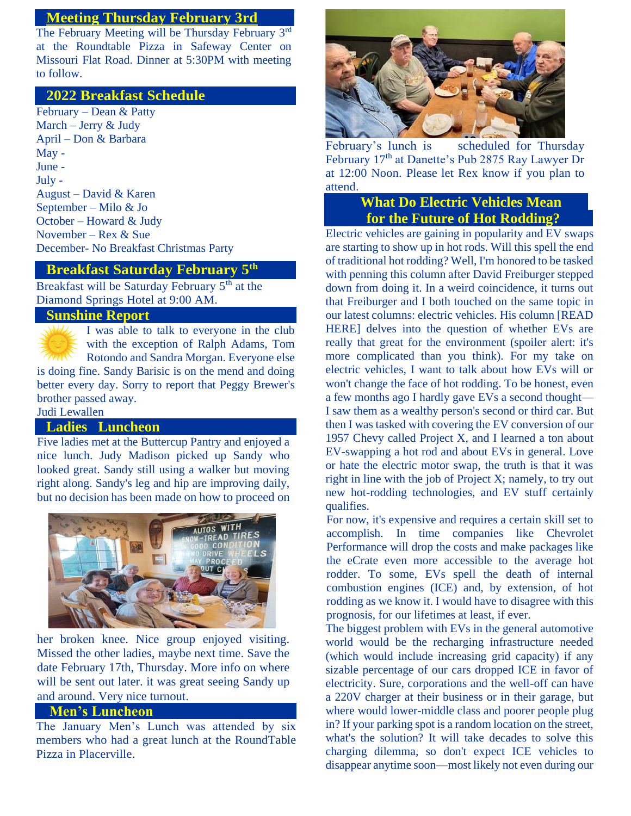### **Meeting Thursday February 3rd**

The February Meeting will be Thursday February 3rd at the Roundtable Pizza in Safeway Center on Missouri Flat Road. Dinner at 5:30PM with meeting to follow.

### **2022 Breakfast Schedule**

February – Dean & Patty March – Jerry & Judy April – Don & Barbara May - June - July - August – David & Karen September – Milo & Jo October – Howard & Judy November – Rex & Sue December- No Breakfast Christmas Party

## **Breakfast Saturday February 5th**

Breakfast will be Saturday February 5<sup>th</sup> at the Diamond Springs Hotel at 9:00 AM.

### **Sunshine Report**



Judi Lewallen

#### **Ladies Luncheon**

Five ladies met at the Buttercup Pantry and enjoyed a nice lunch. Judy Madison picked up Sandy who looked great. Sandy still using a walker but moving right along. Sandy's leg and hip are improving daily, but no decision has been made on how to proceed on



her broken knee. Nice group enjoyed visiting. Missed the other ladies, maybe next time. Save the date February 17th, Thursday. More info on where will be sent out later. it was great seeing Sandy up and around. Very nice turnout.

#### **Men's Luncheon**

The January Men's Lunch was attended by six members who had a great lunch at the RoundTable Pizza in Placerville.



February's lunch is scheduled for Thursday February 17<sup>th</sup> at Danette's Pub 2875 Ray Lawyer Dr at 12:00 Noon. Please let Rex know if you plan to attend.

### **What Do Electric Vehicles Mean for the Future of Hot Rodding?**

Electric vehicles are gaining in popularity and EV swaps are starting to show up in hot rods. Will this spell the end of traditional hot rodding? Well, I'm honored to be tasked with penning this column after David Freiburger stepped down from doing it. In a weird coincidence, it turns out that Freiburger and I both touched on the same topic in our latest columns: electric vehicles. His column [READ HERE] delves into the question of whether EVs are really that great for the environment (spoiler alert: it's more complicated than you think). For my take on electric vehicles, I want to talk about how EVs will or won't change the face of hot rodding. To be honest, even a few months ago I hardly gave EVs a second thought— I saw them as a wealthy person's second or third car. But then I was tasked with covering the EV conversion of our 1957 Chevy called Project X, and I learned a ton about EV-swapping a hot rod and about EVs in general. Love or hate the electric motor swap, the truth is that it was right in line with the job of Project X; namely, to try out new hot-rodding technologies, and EV stuff certainly qualifies.

For now, it's expensive and requires a certain skill set to accomplish. In time companies like Chevrolet Performance will drop the costs and make packages like the eCrate even more accessible to the average hot rodder. To some, EVs spell the death of internal combustion engines (ICE) and, by extension, of hot rodding as we know it. I would have to disagree with this prognosis, for our lifetimes at least, if ever.

The biggest problem with EVs in the general automotive world would be the recharging infrastructure needed (which would include increasing grid capacity) if any sizable percentage of our cars dropped ICE in favor of electricity. Sure, corporations and the well-off can have a 220V charger at their business or in their garage, but where would lower-middle class and poorer people plug in? If your parking spot is a random location on the street, what's the solution? It will take decades to solve this charging dilemma, so don't expect ICE vehicles to disappear anytime soon—most likely not even during our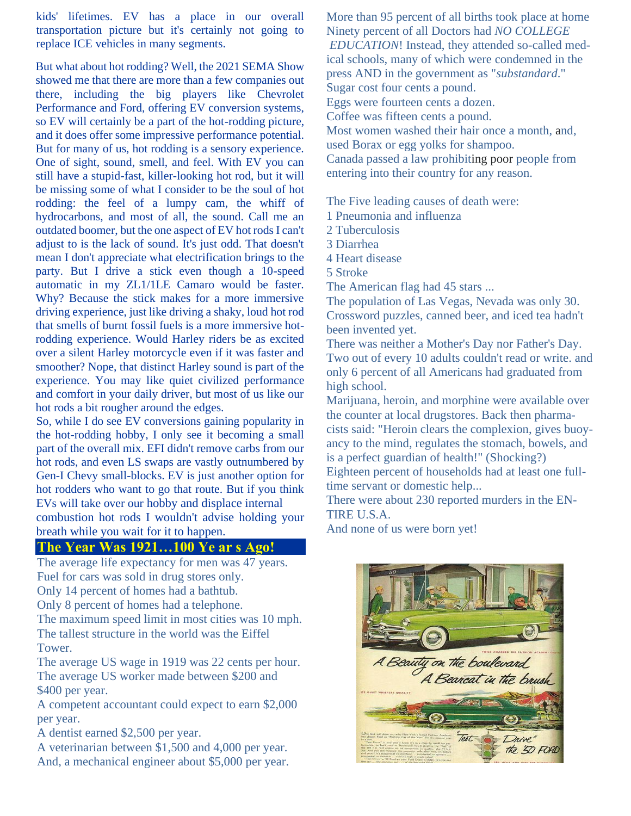kids' lifetimes. EV has a place in our overall transportation picture but it's certainly not going to replace ICE vehicles in many segments.

But what about hot rodding? Well, the 2021 SEMA Show showed me that there are more than a few companies out there, including the big players like Chevrolet Performance and Ford, offering EV conversion systems, so EV will certainly be a part of the hot-rodding picture, and it does offer some impressive performance potential. But for many of us, hot rodding is a sensory experience. One of sight, sound, smell, and feel. With EV you can still have a stupid-fast, killer-looking hot rod, but it will be missing some of what I consider to be the soul of hot rodding: the feel of a lumpy cam, the whiff of hydrocarbons, and most of all, the sound. Call me an outdated boomer, but the one aspect of EV hot rods I can't adjust to is the lack of sound. It's just odd. That doesn't mean I don't appreciate what electrification brings to the party. But I drive a stick even though a 10-speed automatic in my ZL1/1LE Camaro would be faster. Why? Because the stick makes for a more immersive driving experience, just like driving a shaky, loud hot rod that smells of burnt fossil fuels is a more immersive hotrodding experience. Would Harley riders be as excited over a silent Harley motorcycle even if it was faster and smoother? Nope, that distinct Harley sound is part of the experience. You may like quiet civilized performance and comfort in your daily driver, but most of us like our hot rods a bit rougher around the edges.

So, while I do see EV conversions gaining popularity in the hot-rodding hobby, I only see it becoming a small part of the overall mix. EFI didn't remove carbs from our hot rods, and even LS swaps are vastly outnumbered by Gen-I Chevy small-blocks. EV is just another option for hot rodders who want to go that route. But if you think EVs will take over our hobby and displace internal combustion hot rods I wouldn't advise holding your breath while you wait for it to happen.

### **The Year Was 1921…100 Ye ar s Ago!**

The average life expectancy for men was 47 years. Fuel for cars was sold in drug stores only. Only 14 percent of homes had a bathtub.

Only 8 percent of homes had a telephone.

The maximum speed limit in most cities was 10 mph. The tallest structure in the world was the Eiffel Tower.

The average US wage in 1919 was 22 cents per hour. The average US worker made between \$200 and \$400 per year.

A competent accountant could expect to earn \$2,000 per year.

A dentist earned \$2,500 per year.

A veterinarian between \$1,500 and 4,000 per year. And, a mechanical engineer about \$5,000 per year.

More than 95 percent of all births took place at home Ninety percent of all Doctors had *NO COLLEGE EDUCATION*! Instead, they attended so-called medical schools, many of which were condemned in the press AND in the government as "*substandard*." Sugar cost four cents a pound. Eggs were fourteen cents a dozen. Coffee was fifteen cents a pound. Most women washed their hair once a month, and, used Borax or egg yolks for shampoo. Canada passed a law prohibiting poor people from entering into their country for any reason.

The Five leading causes of death were:

1 Pneumonia and influenza

2 Tuberculosis

3 Diarrhea

4 Heart disease

5 Stroke

The American flag had 45 stars ...

The population of Las Vegas, Nevada was only 30. Crossword puzzles, canned beer, and iced tea hadn't been invented yet.

There was neither a Mother's Day nor Father's Day. Two out of every 10 adults couldn't read or write. and only 6 percent of all Americans had graduated from high school.

Marijuana, heroin, and morphine were available over the counter at local drugstores. Back then pharmacists said: "Heroin clears the complexion, gives buoyancy to the mind, regulates the stomach, bowels, and is a perfect guardian of health!" (Shocking?)

Eighteen percent of households had at least one fulltime servant or domestic help...

There were about 230 reported murders in the EN-TIRE U.S.A.

And none of us were born yet!